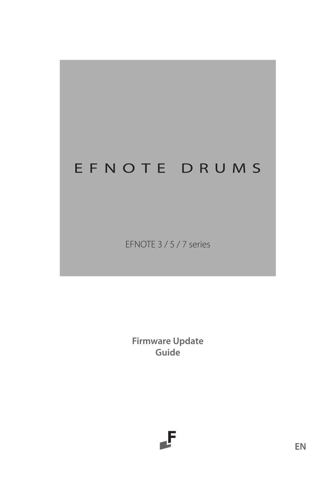# EFNOTE DRUMS

EFNOTE 3 / 5 / 7 series

**Firmware Update Guide**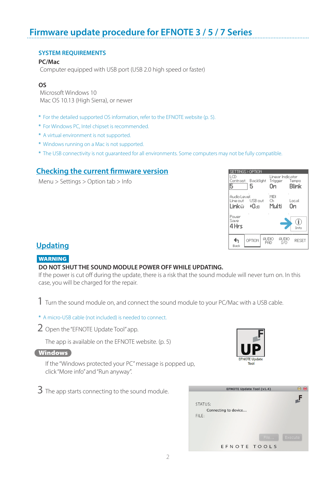# **Firmware update procedure for EFNOTE 3 / 5 / 7 Series**

### **SYSTEM REQUIREMENTS**

# **PC/Mac**

Computer equipped with USB port (USB 2.0 high speed or faster)

## **OS**

 Microsoft Windows 10 Mac OS 10.13 (High Sierra), or newer

- \* For the detailed supported OS information, refer to the EFNOTE website [\(p. 5](#page-4-0)).
- \* For Windows PC, Intel chipset is recommended.
- \* A virtual environment is not supported.
- \* Windows running on a Mac is not supported.
- \* The USB connectivity is not guaranteed for all environments. Some computers may not be fully compatible.

# **Checking the current firmware version**

Menu > Settings > Option tab > Info

| LCD                     | SETTINGS > OPTION<br>Contrast Backlight<br>5 |              | Оn                  | Linear Indicator<br>Trigger Tempo |             | Blink |
|-------------------------|----------------------------------------------|--------------|---------------------|-----------------------------------|-------------|-------|
| Audio Level<br>Line out | USB out<br>LinkΩ +0⊲R                        |              | MIDI<br>Ch<br>Multi |                                   | Local<br>Оn |       |
| Power<br>Save<br>4 Hrs  |                                              |              |                     |                                   |             | Info  |
| Back                    | OPTION                                       | audio<br>PAD |                     | AUDIO<br>T/N                      |             | RESET |

# **Updating**

# **WARNING**

#### **DO NOT SHUT THE SOUND MODULE POWER OFF WHILE UPDATING.**

If the power is cut off during the update, there is a risk that the sound module will never turn on. In this case, you will be charged for the repair.

1 Turn the sound module on, and connect the sound module to your PC/Mac with a USB cable.

\* A micro-USB cable (not included) is needed to connect.

2 Open the "EFNOTE Update Tool" app.

The app is available on the EFNOTE website. [\(p. 5\)](#page-4-0)

#### **Windows**

If the "Windows protected your PC" message is popped up, click "More info" and "Run anyway".



3 The app starts connecting to the sound module.

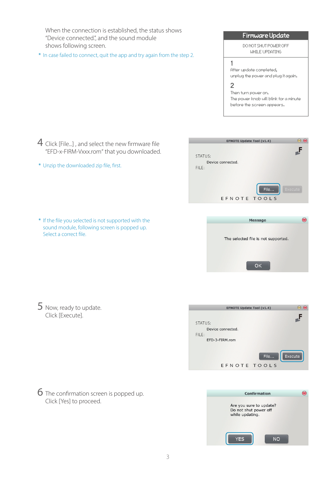When the connection is established, the status shows "Device connected.", and the sound module shows following screen.

\* In case failed to connect, quit the app and try again from the step 2.

# Firmware Update

DO NOT SHUT POMER OFF WHILE UPDATING

#### 1 After update completed, unplug the power and plug it again.  $\overline{a}$

Then turn power on. The power knob will blink for a minute before the screen appears.

- 4 Click [File...], and select the new firmware file "EFD-x-FIRM-Vxxx.rom" that you downloaded.
- \* Unzip the downloaded zip file, first.



\* If the file you selected is not supported with the sound module, following screen is popped up. Select a correct file.

6 The confirmation screen is popped up.

Click [Yes] to proceed.



5 Now, ready to update. Click [Execute].



Confirmation  $\mathbb{R}$ Are you sure to update? Do not shut power off while updating. **YES NO**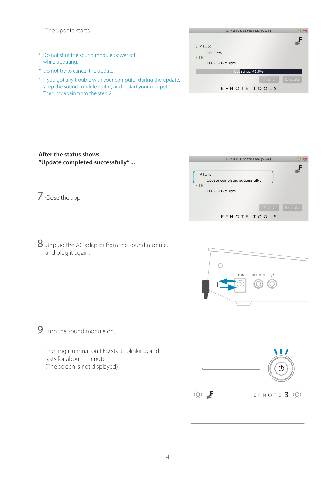The update starts.

- \* Do not shut the sound module power off while updating.
- \* Do not try to cancel the update.
- \* If you got any trouble with your computer during the update, keep the sound module as it is, and restart your computer. Then, try again from the step 2.

| <b>EFNOTE Update Tool (v1.4)</b> |      | r —     |
|----------------------------------|------|---------|
|                                  |      |         |
| STATUS:                          |      |         |
| Updating                         |      |         |
| FILE:                            |      |         |
| EFD-3-FIRM.rom                   |      |         |
| Updating41.8%                    |      |         |
|                                  | File | Execute |
| EFNOTE TOOLS                     |      |         |

### **After the status shows "Update completed successfully" ...**

- 7 Close the app.
- 8 Unplug the AC adapter from the sound module, and plug it again.





9 Turn the sound module on.

The ring illumination LED starts blinking, and lasts for about 1 minute. (The screen is not displayed)